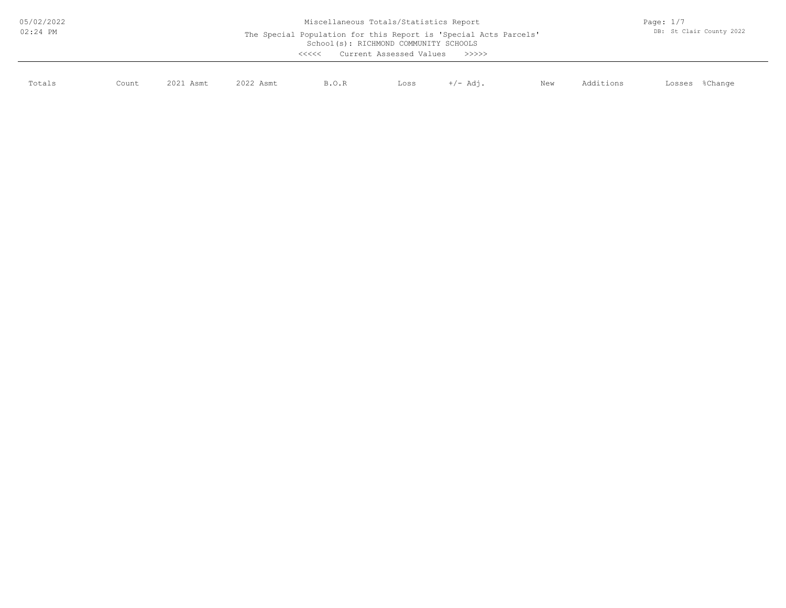| 05/02/2022<br>02:24 PM |       | Miscellaneous Totals/Statistics Report<br>The Special Population for this Report is 'Special Acts Parcels'<br>School(s): RICHMOND COMMUNITY SCHOOLS<br>Current Assessed Values<br>>>>>><br><<<< |           |       |      |          |     |           | Page: $1/7$<br>DB: St Clair County 2022 |
|------------------------|-------|-------------------------------------------------------------------------------------------------------------------------------------------------------------------------------------------------|-----------|-------|------|----------|-----|-----------|-----------------------------------------|
| Totals                 | Count | 2021 Asmt                                                                                                                                                                                       | 2022 Asmt | B.O.R | Loss | +/- Adi. | New | Additions | %Change<br>Losses                       |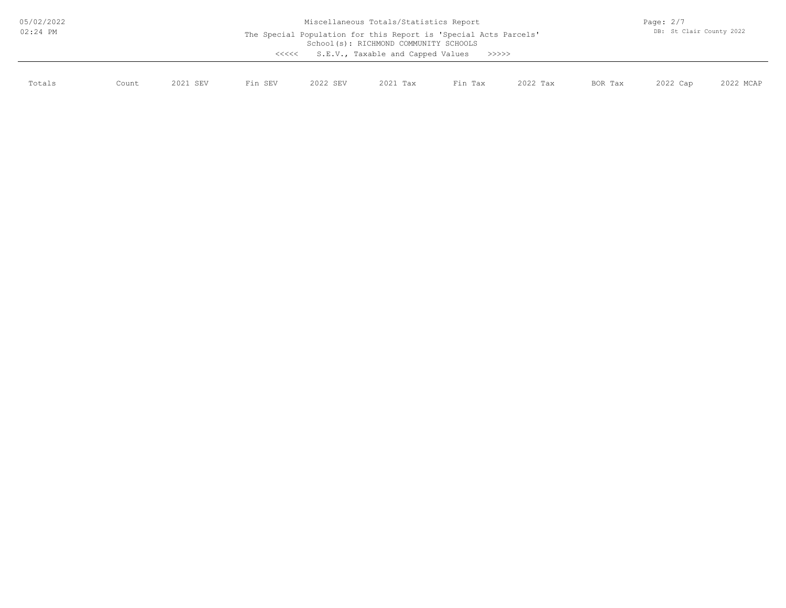| 05/02/2022<br>$02:24$ PM |       | Miscellaneous Totals/Statistics Report<br>The Special Population for this Report is 'Special Acts Parcels'<br>School(s): RICHMOND COMMUNITY SCHOOLS<br>S.E.V., Taxable and Capped Values<br>>>>>><br><<<< |         |          |          |         |          |         | Page: $2/7$<br>DB: St Clair County 2022 |           |  |
|--------------------------|-------|-----------------------------------------------------------------------------------------------------------------------------------------------------------------------------------------------------------|---------|----------|----------|---------|----------|---------|-----------------------------------------|-----------|--|
| Totals                   | Count | 2021 SEV                                                                                                                                                                                                  | Fin SEV | 2022 SEV | 2021 Tax | Fin Tax | 2022 Tax | BOR Tax | 2022 Cap                                | 2022 MCAP |  |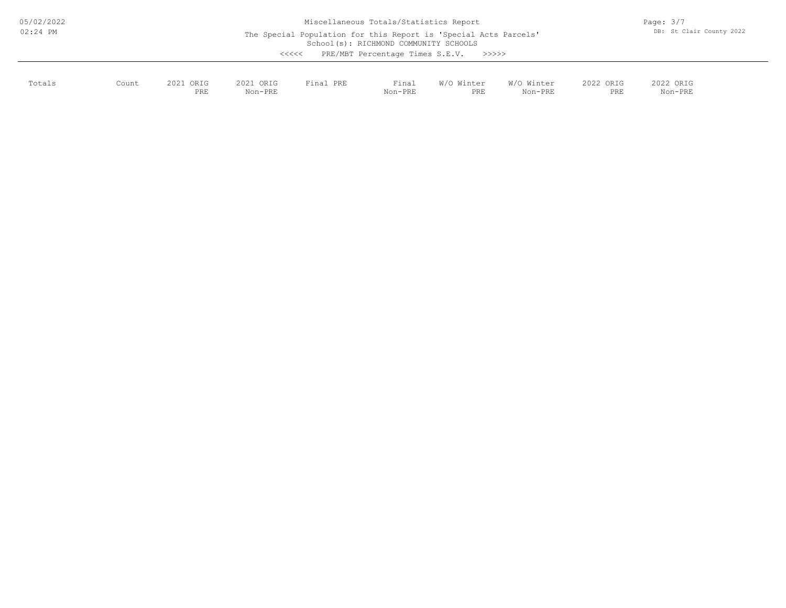| 05/02/2022 |       | Miscellaneous Totals/Statistics Report |                      |                                                                                  |                                                                          |                   |                       |                  |                          |  |  |
|------------|-------|----------------------------------------|----------------------|----------------------------------------------------------------------------------|--------------------------------------------------------------------------|-------------------|-----------------------|------------------|--------------------------|--|--|
| $02:24$ PM |       |                                        |                      | The Special Population for this Report is 'Special Acts Parcels'<br>$\prec$ <<<< | School(s): RICHMOND COMMUNITY SCHOOLS<br>PRE/MBT Percentage Times S.E.V. | >>>>>>            |                       |                  | DB: St Clair County 2022 |  |  |
| Totals     | Count | 2021 ORIG<br>PRE                       | 2021 ORIG<br>Non-PRE | Final PRE                                                                        | Final<br>Non-PRE                                                         | W/O Winter<br>PRE | W/O Winter<br>Non-PRE | 2022 ORIG<br>PRE | 2022 ORIG<br>Non-PRE     |  |  |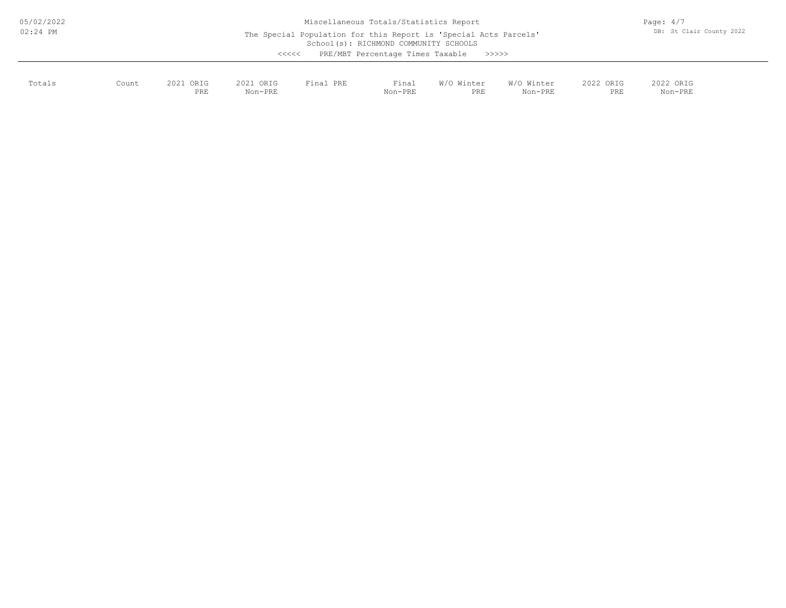| 05/02/2022<br>$02:24$ PM |       | Miscellaneous Totals/Statistics Report<br>The Special Population for this Report is 'Special Acts Parcels'<br>School (s): RICHMOND COMMUNITY SCHOOLS<br>PRE/MBT Percentage Times Taxable >>>>>><br><<<< |                      |           |                  |                   |                       |                  | Page: $4/7$<br>DB: St Clair County 2022 |  |
|--------------------------|-------|---------------------------------------------------------------------------------------------------------------------------------------------------------------------------------------------------------|----------------------|-----------|------------------|-------------------|-----------------------|------------------|-----------------------------------------|--|
| Totals                   | Count | 2021 ORIG<br>PRE                                                                                                                                                                                        | 2021 ORIG<br>Non-PRE | Final PRE | Final<br>Non-PRE | W/O Winter<br>PRE | W/O Winter<br>Non-PRE | 2022 ORIG<br>PRE | 2022 ORIG<br>Non-PRE                    |  |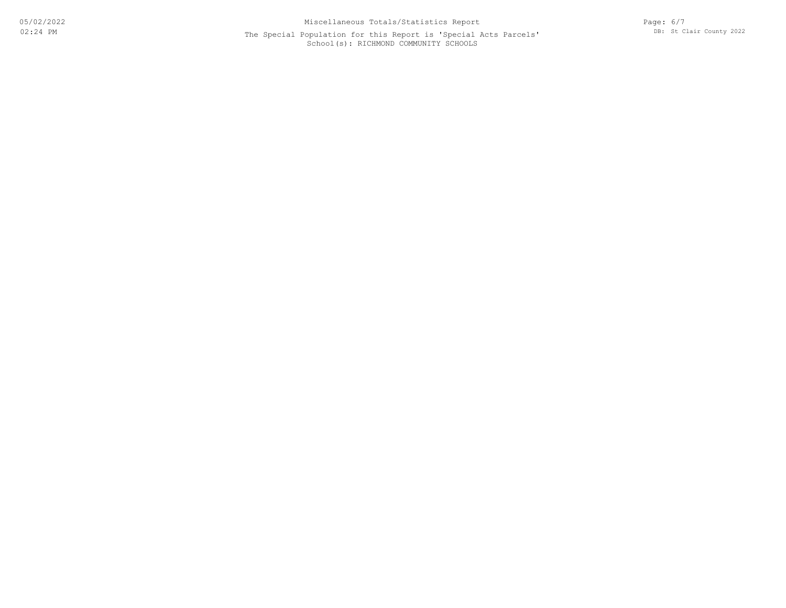## School(s): RICHMOND COMMUNITY SCHOOLS The Special Population for this Report is 'Special Acts Parcels'